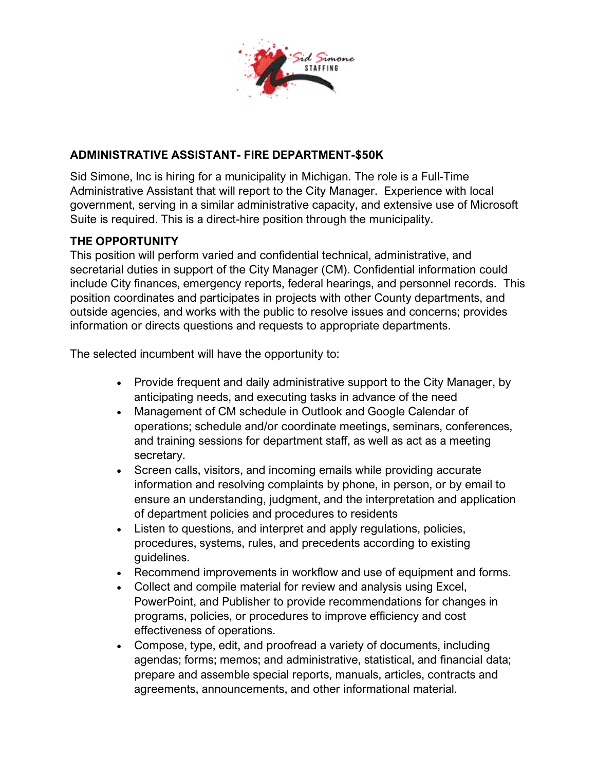

## **ADMINISTRATIVE ASSISTANT- FIRE DEPARTMENT-\$50K**

Sid Simone, Inc is hiring for a municipality in Michigan. The role is a Full-Time Administrative Assistant that will report to the City Manager. Experience with local government, serving in a similar administrative capacity, and extensive use of Microsoft Suite is required. This is a direct-hire position through the municipality.

#### **THE OPPORTUNITY**

This position will perform varied and confidential technical, administrative, and secretarial duties in support of the City Manager (CM). Confidential information could include City finances, emergency reports, federal hearings, and personnel records. This position coordinates and participates in projects with other County departments, and outside agencies, and works with the public to resolve issues and concerns; provides information or directs questions and requests to appropriate departments.

The selected incumbent will have the opportunity to:

- Provide frequent and daily administrative support to the City Manager, by anticipating needs, and executing tasks in advance of the need
- Management of CM schedule in Outlook and Google Calendar of operations; schedule and/or coordinate meetings, seminars, conferences, and training sessions for department staff, as well as act as a meeting secretary.
- Screen calls, visitors, and incoming emails while providing accurate information and resolving complaints by phone, in person, or by email to ensure an understanding, judgment, and the interpretation and application of department policies and procedures to residents
- Listen to questions, and interpret and apply regulations, policies, procedures, systems, rules, and precedents according to existing guidelines.
- Recommend improvements in workflow and use of equipment and forms.
- Collect and compile material for review and analysis using Excel, PowerPoint, and Publisher to provide recommendations for changes in programs, policies, or procedures to improve efficiency and cost effectiveness of operations.
- Compose, type, edit, and proofread a variety of documents, including agendas; forms; memos; and administrative, statistical, and financial data; prepare and assemble special reports, manuals, articles, contracts and agreements, announcements, and other informational material.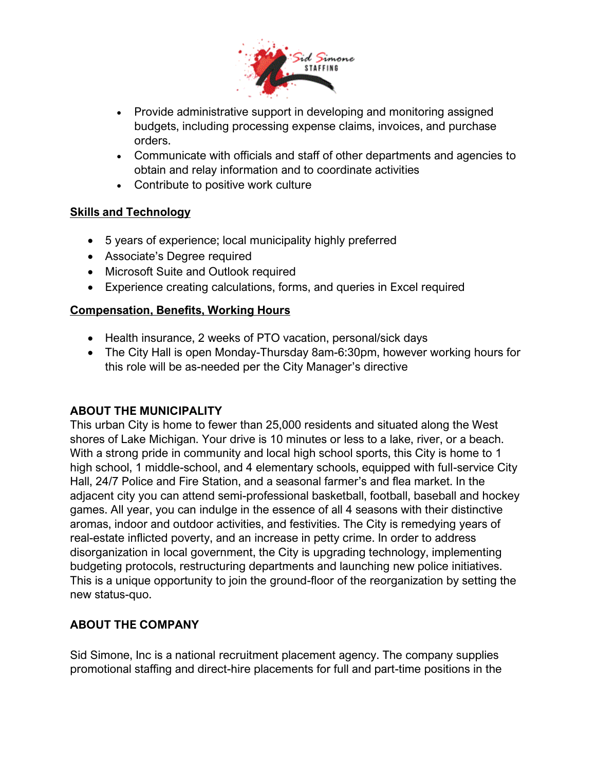

- Provide administrative support in developing and monitoring assigned budgets, including processing expense claims, invoices, and purchase orders.
- Communicate with officials and staff of other departments and agencies to obtain and relay information and to coordinate activities
- Contribute to positive work culture

### **Skills and Technology**

- 5 years of experience; local municipality highly preferred
- Associate's Degree required
- Microsoft Suite and Outlook required
- Experience creating calculations, forms, and queries in Excel required

### **Compensation, Benefits, Working Hours**

- Health insurance, 2 weeks of PTO vacation, personal/sick days
- The City Hall is open Monday-Thursday 8am-6:30pm, however working hours for this role will be as-needed per the City Manager's directive

#### **ABOUT THE MUNICIPALITY**

This urban City is home to fewer than 25,000 residents and situated along the West shores of Lake Michigan. Your drive is 10 minutes or less to a lake, river, or a beach. With a strong pride in community and local high school sports, this City is home to 1 high school, 1 middle-school, and 4 elementary schools, equipped with full-service City Hall, 24/7 Police and Fire Station, and a seasonal farmer's and flea market. In the adjacent city you can attend semi-professional basketball, football, baseball and hockey games. All year, you can indulge in the essence of all 4 seasons with their distinctive aromas, indoor and outdoor activities, and festivities. The City is remedying years of real-estate inflicted poverty, and an increase in petty crime. In order to address disorganization in local government, the City is upgrading technology, implementing budgeting protocols, restructuring departments and launching new police initiatives. This is a unique opportunity to join the ground-floor of the reorganization by setting the new status-quo.

# **ABOUT THE COMPANY**

Sid Simone, Inc is a national recruitment placement agency. The company supplies promotional staffing and direct-hire placements for full and part-time positions in the